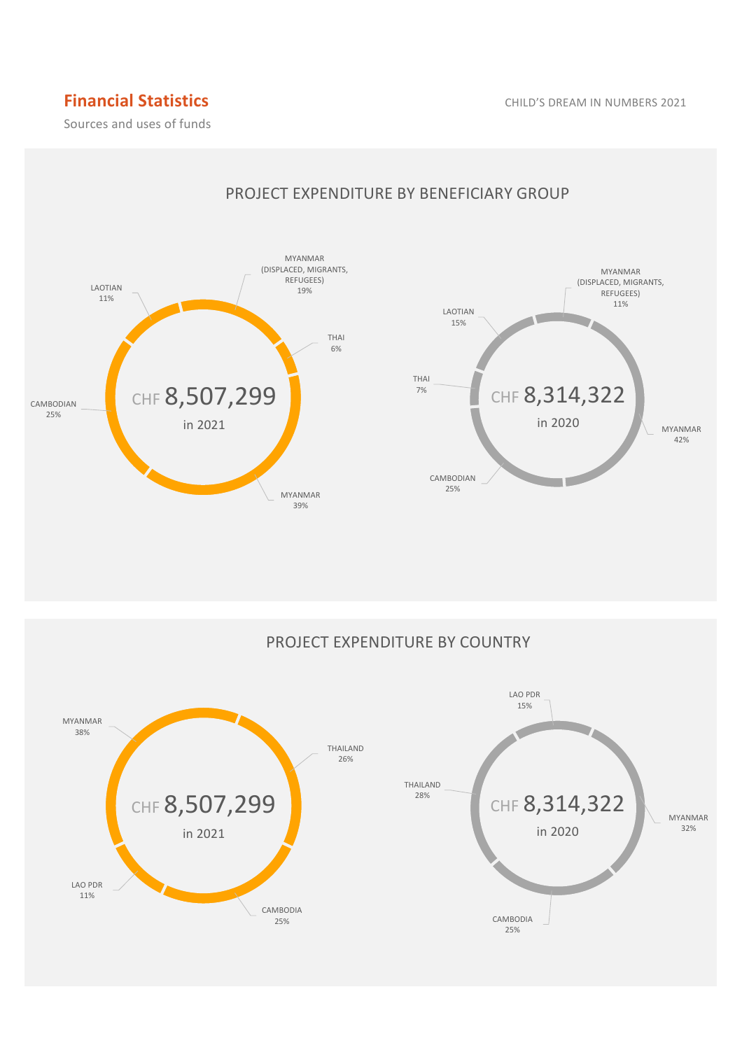# **Financial Statistics CHILD'S DREAM IN NUMBERS 2021**

Sources and uses of funds



## PROJECT EXPENDITURE BY BENEFICIARY GROUP

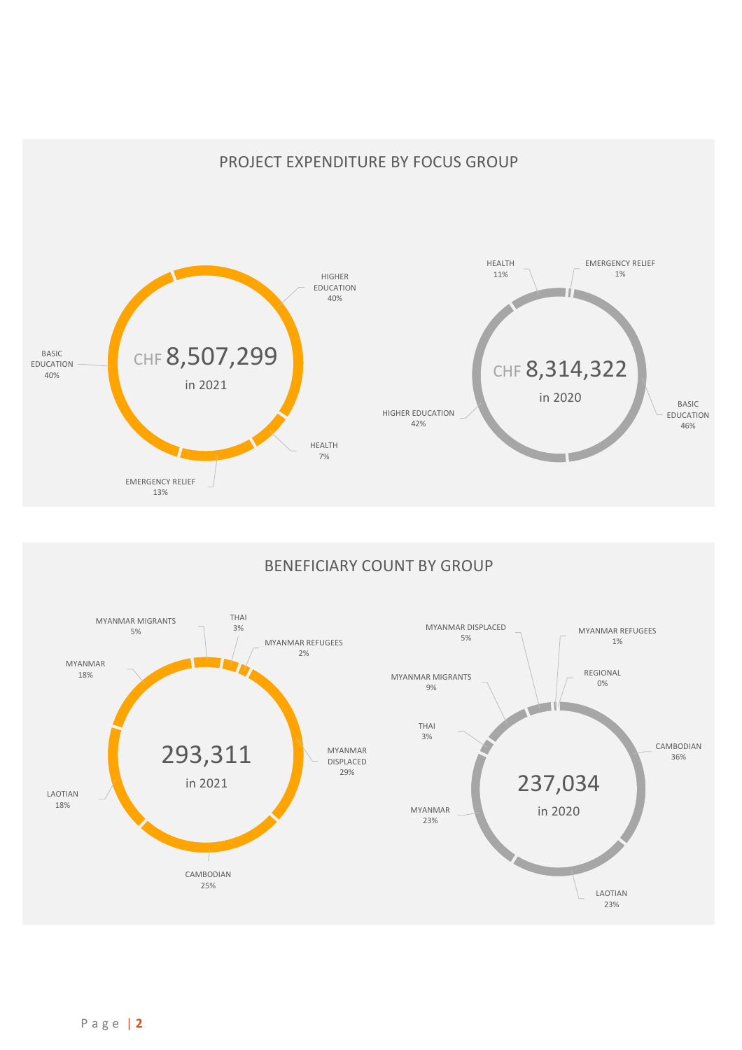## PROJECT EXPENDITURE BY FOCUS GROUP



## BENEFICIARY COUNT BY GROUP

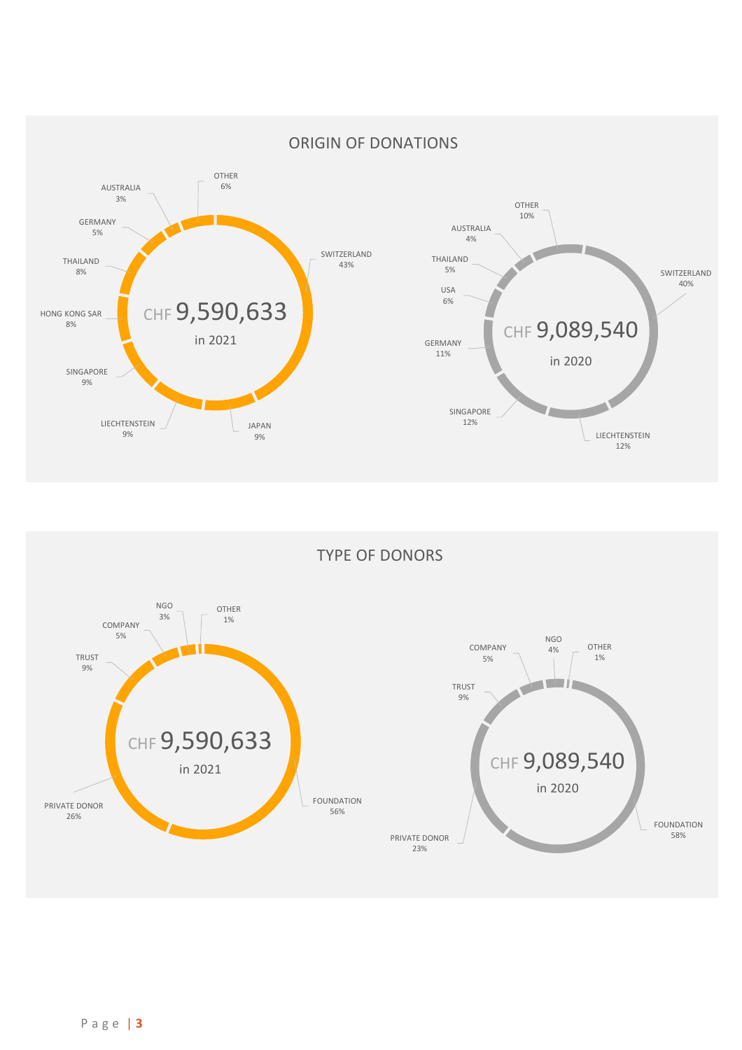

TYPE OF DONORS

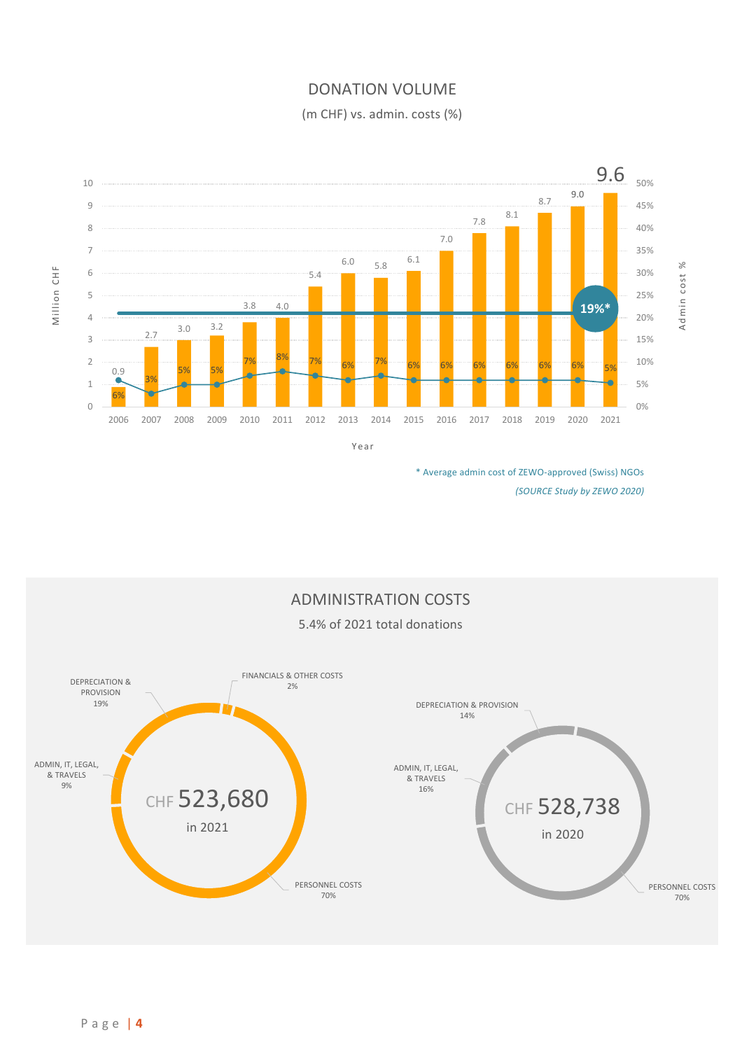## DONATION VOLUME

(m CHF) vs. admin. costs (%)



Y e a r

\* Average admin cost of ZEWO-approved (Swiss) NGOs *(SOURCE Study by ZEWO 2020)*